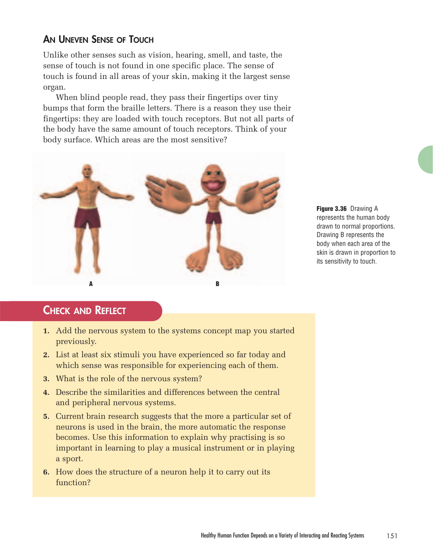#### **AN UNEVEN SENSE OF TOUCH**

Unlike other senses such as vision, hearing, smell, and taste, the sense of touch is not found in one specific place. The sense of touch is found in all areas of your skin, making it the largest sense organ.

When blind people read, they pass their fingertips over tiny bumps that form the braille letters. There is a reason they use their fingertips: they are loaded with touch receptors. But not all parts of the body have the same amount of touch receptors. Think of your body surface. Which areas are the most sensitive?



**Figure 3.36** Drawing A represents the human body drawn to normal proportions. Drawing B represents the body when each area of the skin is drawn in proportion to its sensitivity to touch.

### **CHECK AND REFLECT**

- **1.** Add the nervous system to the systems concept map you started previously.
- **2.** List at least six stimuli you have experienced so far today and which sense was responsible for experiencing each of them.
- **3.** What is the role of the nervous system?
- **4.** Describe the similarities and differences between the central and peripheral nervous systems.
- **5.** Current brain research suggests that the more a particular set of neurons is used in the brain, the more automatic the response becomes. Use this information to explain why practising is so important in learning to play a musical instrument or in playing a sport.
- **6.** How does the structure of a neuron help it to carry out its function?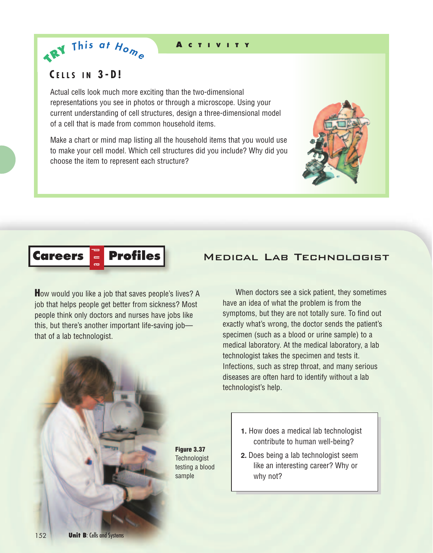#### **A CTIVITY**

#### **C ELLS IN 3-D!**

 $\mathbf{A}^{\mathbf{R}^{\mathbf{Y}}}$  This at  $H_{\mathbf{O}_{m_{e}}}$ 

Actual cells look much more exciting than the two-dimensional representations you see in photos or through a microscope. Using your current understanding of cell structures, design a three-dimensional model of a cell that is made from common household items.

Make a chart or mind map listing all the household items that you would use to make your cell model. Which cell structures did you include? Why did you choose the item to represent each structure?



# **Careers Profiles**

**H**ow would you like a job that saves people's lives? A job that helps people get better from sickness? Most people think only doctors and nurses have jobs like this, but there's another important life-saving job that of a lab technologist.



#### Medical Lab Technologist

When doctors see a sick patient, they sometimes have an idea of what the problem is from the symptoms, but they are not totally sure. To find out exactly what's wrong, the doctor sends the patient's specimen (such as a blood or urine sample) to a medical laboratory. At the medical laboratory, a lab technologist takes the specimen and tests it. Infections, such as strep throat, and many serious diseases are often hard to identify without a lab technologist's help.

- **1.** How does a medical lab technologist contribute to human well-being?
- **2.** Does being a lab technologist seem like an interesting career? Why or why not?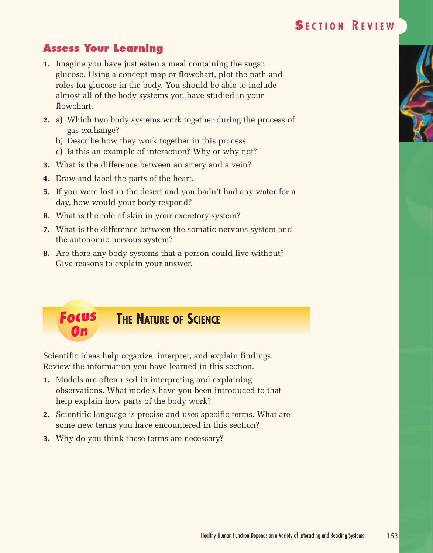# **S ECTION R EVIEW**

## **Assess Your Learning**

- **1.** Imagine you have just eaten a meal containing the sugar, glucose. Using a concept map or flowchart, plot the path and roles for glucose in the body. You should be able to include almost all of the body systems you have studied in your flowchart.
- **2.** a) Which two body systems work together during the process of gas exchange?
	- b) Describe how they work together in this process.
	- c) Is this an example of interaction? Why or why not?
- **3.** What is the difference between an artery and a vein?
- **4.** Draw and label the parts of the heart.
- **5.** If you were lost in the desert and you hadn't had any water for a day, how would your body respond?
- **6.** What is the role of skin in your excretory system?
- **7.** What is the difference between the somatic nervous system and the autonomic nervous system?
- **8.** Are there any body systems that a person could live without? Give reasons to explain your answer.



Scientific ideas help organize, interpret, and explain findings. Review the information you have learned in this section.

- **1.** Models are often used in interpreting and explaining observations. What models have you been introduced to that help explain how parts of the body work?
- **2.** Scientific language is precise and uses specific terms. What are some new terms you have encountered in this section?
- **3.** Why do you think these terms are necessary?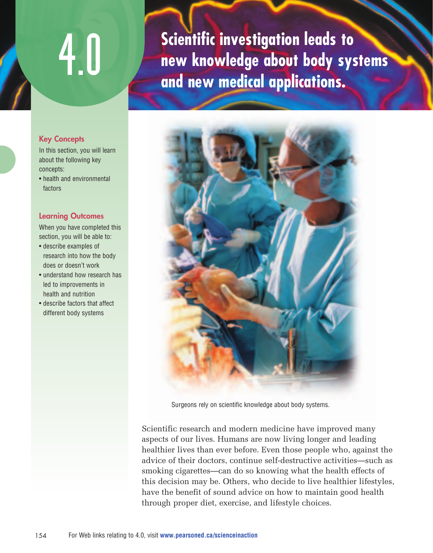# 4.0

**Scientific investigation leads to new knowledge about body systems and new medical applications.**



Surgeons rely on scientific knowledge about body systems.

Scientific research and modern medicine have improved many aspects of our lives. Humans are now living longer and leading healthier lives than ever before. Even those people who, against the advice of their doctors, continue self-destructive activities—such as smoking cigarettes—can do so knowing what the health effects of this decision may be. Others, who decide to live healthier lifestyles, have the benefit of sound advice on how to maintain good health through proper diet, exercise, and lifestyle choices.

#### **Key Concepts**

In this section, you will learn about the following key concepts:

• health and environmental factors

#### **Learning Outcomes**

When you have completed this section, you will be able to:

- describe examples of research into how the body does or doesn't work
- understand how research has led to improvements in health and nutrition
- describe factors that affect different body systems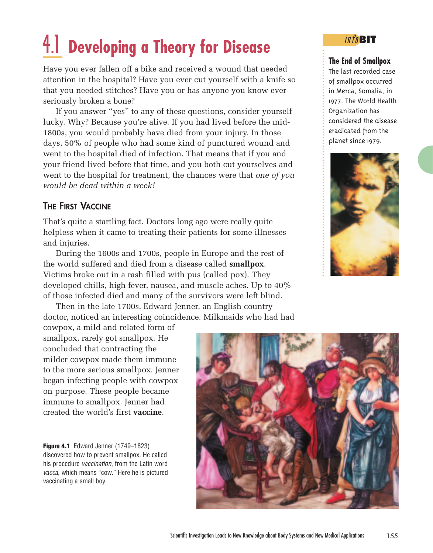# 4.1 **Developing a Theory for Disease**

Have you ever fallen off a bike and received a wound that needed attention in the hospital? Have you ever cut yourself with a knife so that you needed stitches? Have you or has anyone you know ever seriously broken a bone?

If you answer "yes" to any of these questions, consider yourself lucky. Why? Because you're alive. If you had lived before the mid-1800s, you would probably have died from your injury. In those days, 50% of people who had some kind of punctured wound and went to the hospital died of infection. That means that if you and your friend lived before that time, and you both cut yourselves and went to the hospital for treatment, the chances were that *one of you would be dead within a week!*

#### **THE FIRST VACCINE**

That's quite a startling fact. Doctors long ago were really quite helpless when it came to treating their patients for some illnesses and injuries.

During the 1600s and 1700s, people in Europe and the rest of the world suffered and died from a disease called **smallpox**. Victims broke out in a rash filled with pus (called pox). They developed chills, high fever, nausea, and muscle aches. Up to 40% of those infected died and many of the survivors were left blind.

Then in the late 1700s, Edward Jenner, an English country doctor, noticed an interesting coincidence. Milkmaids who had had

cowpox, a mild and related form of smallpox, rarely got smallpox. He concluded that contracting the milder cowpox made them immune to the more serious smallpox. Jenner began infecting people with cowpox on purpose. These people became immune to smallpox. Jenner had created the world's first **vaccine**.

**Figure 4.1** Edward Jenner (1749–1823) discovered how to prevent smallpox. He called his procedure *vaccination*, from the Latin word vacca, which means "cow." Here he is pictured vaccinating a small boy.



#### info**BIT**

#### **The End of Smallpox**

The last recorded case of smallpox occurred in Merca, Somalia, in 1977. The World Health Organization has considered the disease eradicated from the planet since 1979.

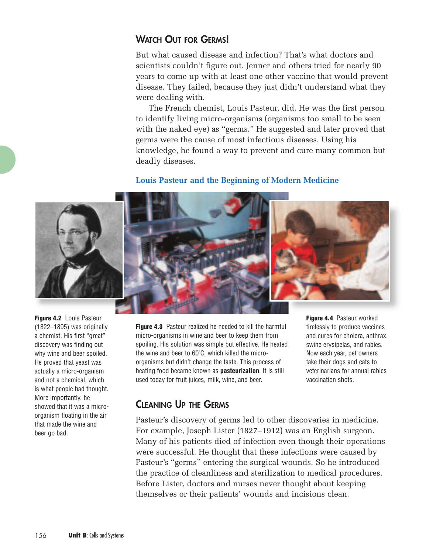#### **WATCH OUT FOR GERMS!**

But what caused disease and infection? That's what doctors and scientists couldn't figure out. Jenner and others tried for nearly 90 years to come up with at least one other vaccine that would prevent disease. They failed, because they just didn't understand what they were dealing with.

The French chemist, Louis Pasteur, did. He was the first person to identify living micro-organisms (organisms too small to be seen with the naked eye) as "germs." He suggested and later proved that germs were the cause of most infectious diseases. Using his knowledge, he found a way to prevent and cure many common but deadly diseases.

#### **Louis Pasteur and the Beginning of Modern Medicine**





**Figure 4.2** Louis Pasteur (1822–1895) was originally a chemist. His first "great" discovery was finding out why wine and beer spoiled. He proved that yeast was actually a micro-organism and not a chemical, which is what people had thought. More importantly, he showed that it was a microorganism floating in the air that made the wine and beer go bad.

**Figure 4.3** Pasteur realized he needed to kill the harmful micro-organisms in wine and beer to keep them from spoiling. His solution was simple but effective. He heated the wine and beer to 60˚C, which killed the microorganisms but didn't change the taste. This process of heating food became known as **pasteurization**. It is still used today for fruit juices, milk, wine, and beer.

**Figure 4.4** Pasteur worked tirelessly to produce vaccines and cures for cholera, anthrax, swine erysipelas, and rabies. Now each year, pet owners take their dogs and cats to veterinarians for annual rabies vaccination shots.

### **CLEANING UP THE GERMS**

Pasteur's discovery of germs led to other discoveries in medicine. For example, Joseph Lister (1827–1912) was an English surgeon. Many of his patients died of infection even though their operations were successful. He thought that these infections were caused by Pasteur's "germs" entering the surgical wounds. So he introduced the practice of cleanliness and sterilization to medical procedures. Before Lister, doctors and nurses never thought about keeping themselves or their patients' wounds and incisions clean.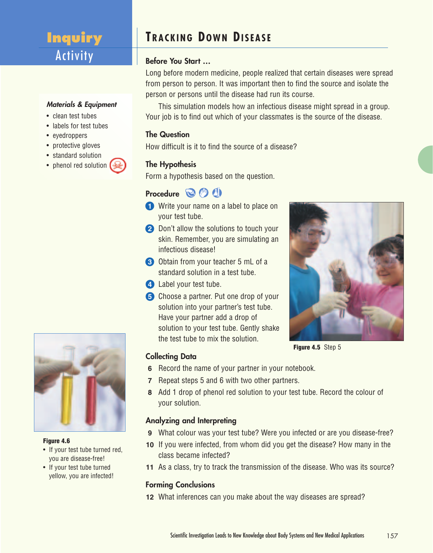# **Inquiry Activity**

#### **Materials & Equipment**

- clean test tubes
- labels for test tubes
- eyedroppers
- protective gloves
- standard solution
- phenol red solution



#### **Figure 4.6**

- If your test tube turned red, you are disease-free!
- If your test tube turned yellow, you are infected!

# **TRACKING DOWN DISEASE**

#### **Before You Start …**

Long before modern medicine, people realized that certain diseases were spread from person to person. It was important then to find the source and isolate the person or persons until the disease had run its course.

This simulation models how an infectious disease might spread in a group. Your job is to find out which of your classmates is the source of the disease.

#### **The Question**

How difficult is it to find the source of a disease?

#### **The Hypothesis**

Form a hypothesis based on the question.

#### Procedure **<b>B**<sup>1</sup>

- **1** Write your name on a label to place on your test tube.
- **2** Don't allow the solutions to touch your skin. Remember, you are simulating an infectious disease!
- **3** Obtain from your teacher 5 mL of a standard solution in a test tube.
- **4** Label your test tube.
- **5** Choose a partner. Put one drop of your solution into your partner's test tube. Have your partner add a drop of solution to your test tube. Gently shake the test tube to mix the solution.



**Figure 4.5** Step 5

#### **Collecting Data**

- **6** Record the name of your partner in your notebook.
- **7** Repeat steps 5 and 6 with two other partners.
- **8** Add 1 drop of phenol red solution to your test tube. Record the colour of your solution.

#### **Analyzing and Interpreting**

- **9** What colour was your test tube? Were you infected or are you disease-free?
- **10** If you were infected, from whom did you get the disease? How many in the class became infected?
- **11** As a class, try to track the transmission of the disease. Who was its source?

#### **Forming Conclusions**

**12** What inferences can you make about the way diseases are spread?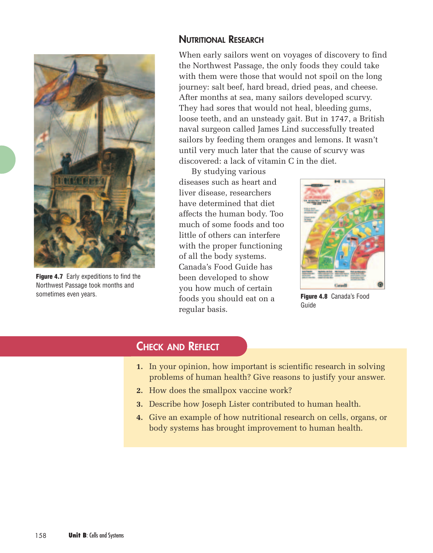

**Figure 4.7** Early expeditions to find the Northwest Passage took months and sometimes even years.

#### **NUTRITIONAL RESEARCH**

When early sailors went on voyages of discovery to find the Northwest Passage, the only foods they could take with them were those that would not spoil on the long journey: salt beef, hard bread, dried peas, and cheese. After months at sea, many sailors developed scurvy. They had sores that would not heal, bleeding gums, loose teeth, and an unsteady gait. But in 1747, a British naval surgeon called James Lind successfully treated sailors by feeding them oranges and lemons. It wasn't until very much later that the cause of scurvy was discovered: a lack of vitamin C in the diet.

By studying various diseases such as heart and liver disease, researchers have determined that diet affects the human body. Too much of some foods and too little of others can interfere with the proper functioning of all the body systems. Canada's Food Guide has been developed to show you how much of certain foods you should eat on a regular basis.



**Figure 4.8** Canada's Food Guide

#### **CHECK AND REFLECT**

- **1.** In your opinion, how important is scientific research in solving problems of human health? Give reasons to justify your answer.
- **2.** How does the smallpox vaccine work?
- **3.** Describe how Joseph Lister contributed to human health.
- **4.** Give an example of how nutritional research on cells, organs, or body systems has brought improvement to human health.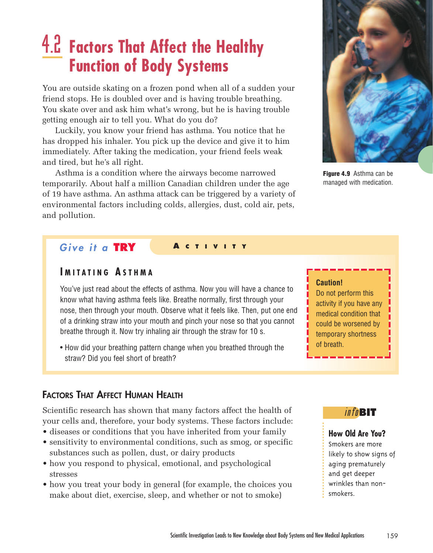# 4.2 **Factors That Affect the Healthy Function of Body Systems**

You are outside skating on a frozen pond when all of a sudden your friend stops. He is doubled over and is having trouble breathing. You skate over and ask him what's wrong, but he is having trouble getting enough air to tell you. What do you do?

Luckily, you know your friend has asthma. You notice that he has dropped his inhaler. You pick up the device and give it to him immediately. After taking the medication, your friend feels weak and tired, but he's all right.

Asthma is a condition where the airways become narrowed temporarily. About half a million Canadian children under the age of 19 have asthma. An asthma attack can be triggered by a variety of environmental factors including colds, allergies, dust, cold air, pets, and pollution.

#### *<u>Give it a TRY</u>*

#### **I MITATING A STHMA**

You've just read about the effects of asthma. Now you will have a chance to know what having asthma feels like. Breathe normally, first through your nose, then through your mouth. Observe what it feels like. Then, put one end of a drinking straw into your mouth and pinch your nose so that you cannot breathe through it. Now try inhaling air through the straw for 10 s.

• How did your breathing pattern change when you breathed through the straw? Did you feel short of breath?

#### **FACTORS THAT AFFECT HUMAN HEALTH**

Scientific research has shown that many factors affect the health of your cells and, therefore, your body systems. These factors include:

- diseases or conditions that you have inherited from your family
- sensitivity to environmental conditions, such as smog, or specific substances such as pollen, dust, or dairy products
- how you respond to physical, emotional, and psychological stresses
- how you treat your body in general (for example, the choices you make about diet, exercise, sleep, and whether or not to smoke)



**Figure 4.9** Asthma can be managed with medication.

#### **Caution!**

Do not perform this activity if you have any medical condition that could be worsened by temporary shortness of breath.

#### info**BIT**

#### **How Old Are You?**

Smokers are more likely to show signs of aging prematurely and get deeper wrinkles than nonsmokers.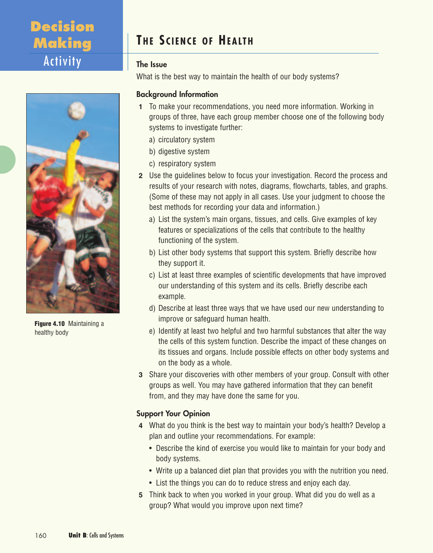# **Decision Making** Activity

# **TH E S CIENCE OF HEALTH**

#### **The Issue**

What is the best way to maintain the health of our body systems?

#### **Background Information**

- **1** To make your recommendations, you need more information. Working in groups of three, have each group member choose one of the following body systems to investigate further:
	- a) circulatory system
	- b) digestive system
	- c) respiratory system
- **2** Use the guidelines below to focus your investigation. Record the process and results of your research with notes, diagrams, flowcharts, tables, and graphs. (Some of these may not apply in all cases. Use your judgment to choose the best methods for recording your data and information.)
	- a) List the system's main organs, tissues, and cells. Give examples of key features or specializations of the cells that contribute to the healthy functioning of the system.
	- b) List other body systems that support this system. Briefly describe how they support it.
	- c) List at least three examples of scientific developments that have improved our understanding of this system and its cells. Briefly describe each example.
	- d) Describe at least three ways that we have used our new understanding to improve or safeguard human health.
	- e) Identify at least two helpful and two harmful substances that alter the way the cells of this system function. Describe the impact of these changes on its tissues and organs. Include possible effects on other body systems and on the body as a whole.
- **3** Share your discoveries with other members of your group. Consult with other groups as well. You may have gathered information that they can benefit from, and they may have done the same for you.

#### **Support Your Opinion**

- **4** What do you think is the best way to maintain your body's health? Develop a plan and outline your recommendations. For example:
	- Describe the kind of exercise you would like to maintain for your body and body systems.
	- Write up a balanced diet plan that provides you with the nutrition you need.
	- List the things you can do to reduce stress and enjoy each day.
- **5** Think back to when you worked in your group. What did you do well as a group? What would you improve upon next time?



**Figure 4.10** Maintaining a healthy body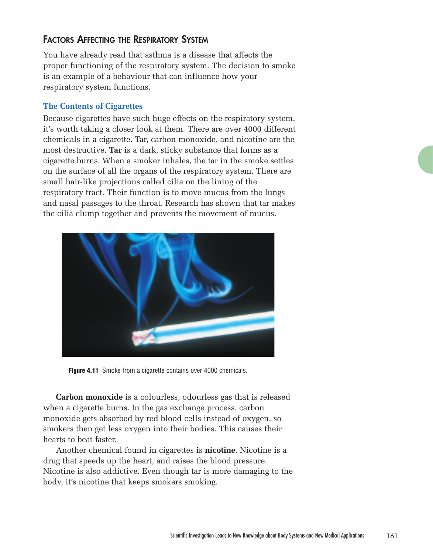#### **FACTORS AFFECTING THE RESPIRATORY SYSTEM**

You have already read that asthma is a disease that affects the proper functioning of the respiratory system. The decision to smoke is an example of a behaviour that can influence how your respiratory system functions.

#### **The Contents of Cigarettes**

Because cigarettes have such huge effects on the respiratory system, it's worth taking a closer look at them. There are over 4000 different chemicals in a cigarette. Tar, carbon monoxide, and nicotine are the most destructive. **Tar** is a dark, sticky substance that forms as a cigarette burns. When a smoker inhales, the tar in the smoke settles on the surface of all the organs of the respiratory system. There are small hair-like projections called cilia on the lining of the respiratory tract. Their function is to move mucus from the lungs and nasal passages to the throat. Research has shown that tar makes the cilia clump together and prevents the movement of mucus.



**Figure 4.11** Smoke from a cigarette contains over 4000 chemicals.

**Carbon monoxide** is a colourless, odourless gas that is released when a cigarette burns. In the gas exchange process, carbon monoxide gets absorbed by red blood cells instead of oxygen, so smokers then get less oxygen into their bodies. This causes their hearts to beat faster.

Another chemical found in cigarettes is **nicotine**. Nicotine is a drug that speeds up the heart, and raises the blood pressure. Nicotine is also addictive. Even though tar is more damaging to the body, it's nicotine that keeps smokers smoking.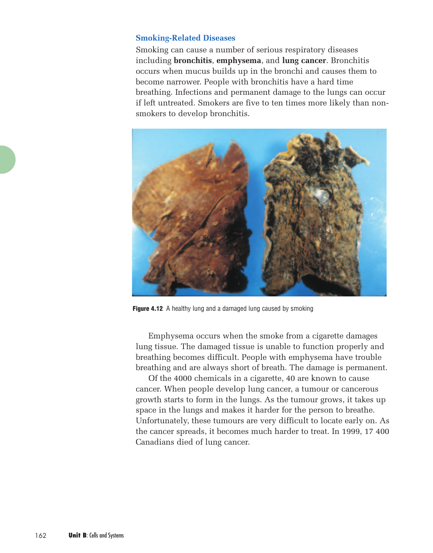#### **Smoking-Related Diseases**

Smoking can cause a number of serious respiratory diseases including **bronchitis**, **emphysema**, and **lung cancer**. Bronchitis occurs when mucus builds up in the bronchi and causes them to become narrower. People with bronchitis have a hard time breathing. Infections and permanent damage to the lungs can occur if left untreated. Smokers are five to ten times more likely than nonsmokers to develop bronchitis.



**Figure 4.12** A healthy lung and a damaged lung caused by smoking

Emphysema occurs when the smoke from a cigarette damages lung tissue. The damaged tissue is unable to function properly and breathing becomes difficult. People with emphysema have trouble breathing and are always short of breath. The damage is permanent.

Of the 4000 chemicals in a cigarette, 40 are known to cause cancer. When people develop lung cancer, a tumour or cancerous growth starts to form in the lungs. As the tumour grows, it takes up space in the lungs and makes it harder for the person to breathe. Unfortunately, these tumours are very difficult to locate early on. As the cancer spreads, it becomes much harder to treat. In 1999, 17 400 Canadians died of lung cancer.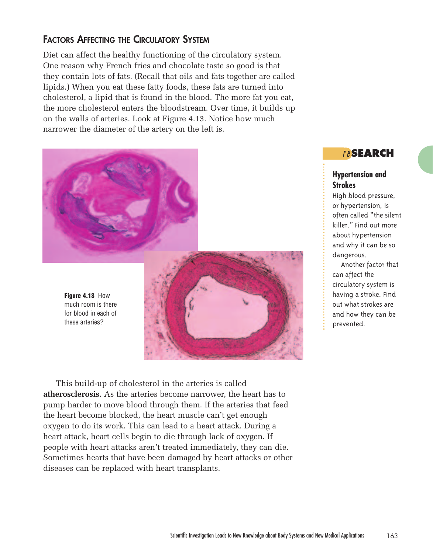#### **FACTORS AFFECTING THE CIRCULATORY SYSTEM**

Diet can affect the healthy functioning of the circulatory system. One reason why French fries and chocolate taste so good is that they contain lots of fats. (Recall that oils and fats together are called lipids.) When you eat these fatty foods, these fats are turned into cholesterol, a lipid that is found in the blood. The more fat you eat, the more cholesterol enters the bloodstream. Over time, it builds up on the walls of arteries. Look at Figure 4.13. Notice how much narrower the diameter of the artery on the left is.





This build-up of cholesterol in the arteries is called **atherosclerosis**. As the arteries become narrower, the heart has to pump harder to move blood through them. If the arteries that feed the heart become blocked, the heart muscle can't get enough oxygen to do its work. This can lead to a heart attack. During a heart attack, heart cells begin to die through lack of oxygen. If people with heart attacks aren't treated immediately, they can die. Sometimes hearts that have been damaged by heart attacks or other diseases can be replaced with heart transplants.

#### <sup>r</sup> <sup>e</sup>**SEARCH**

#### **Hypertension and Strokes**

High blood pressure, or hypertension, is often called "the silent killer." Find out more about hypertension and why it can be so dangerous.

Another factor that can affect the circulatory system is having a stroke. Find out what strokes are and how they can be prevented.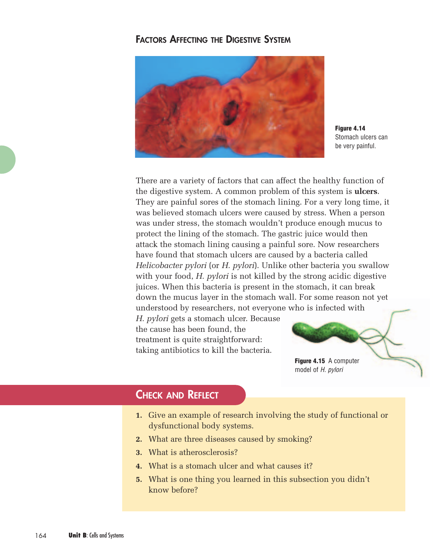#### **FACTORS AFFECTING THE DIGESTIVE SYSTEM**



**Figure 4.14** Stomach ulcers can be very painful.

There are a variety of factors that can affect the healthy function of the digestive system. A common problem of this system is **ulcers**. They are painful sores of the stomach lining. For a very long time, it was believed stomach ulcers were caused by stress. When a person was under stress, the stomach wouldn't produce enough mucus to protect the lining of the stomach. The gastric juice would then attack the stomach lining causing a painful sore. Now researchers have found that stomach ulcers are caused by a bacteria called *Helicobacter pylori* (or *H. pylori*). Unlike other bacteria you swallow with your food, *H. pylori* is not killed by the strong acidic digestive juices. When this bacteria is present in the stomach, it can break down the mucus layer in the stomach wall. For some reason not yet understood by researchers, not everyone who is infected with

*H. pylori* gets a stomach ulcer. Because the cause has been found, the treatment is quite straightforward: taking antibiotics to kill the bacteria.



### **CHECK AND REFLECT**

- **1.** Give an example of research involving the study of functional or dysfunctional body systems.
- **2.** What are three diseases caused by smoking?
- **3.** What is atherosclerosis?
- **4.** What is a stomach ulcer and what causes it?
- **5.** What is one thing you learned in this subsection you didn't know before?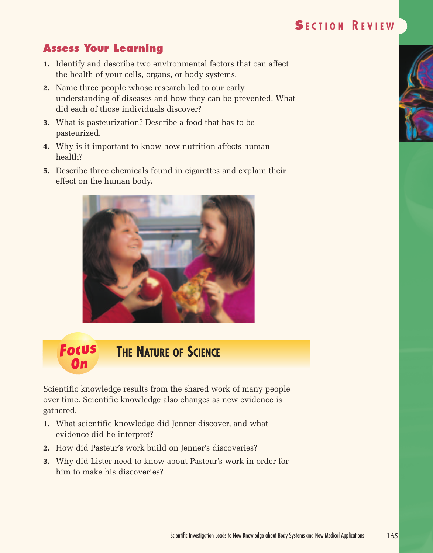### **Assess Your Learning**

- **1.** Identify and describe two environmental factors that can affect the health of your cells, organs, or body systems.
- **2.** Name three people whose research led to our early understanding of diseases and how they can be prevented. What did each of those individuals discover?
- **3.** What is pasteurization? Describe a food that has to be pasteurized.
- **4.** Why is it important to know how nutrition affects human health?
- **5.** Describe three chemicals found in cigarettes and explain their effect on the human body.



#### **Focus On THE NATURE OF SCIENCE**

Scientific knowledge results from the shared work of many people over time. Scientific knowledge also changes as new evidence is gathered.

- **1.** What scientific knowledge did Jenner discover, and what evidence did he interpret?
- **2.** How did Pasteur's work build on Jenner's discoveries?
- **3.** Why did Lister need to know about Pasteur's work in order for him to make his discoveries?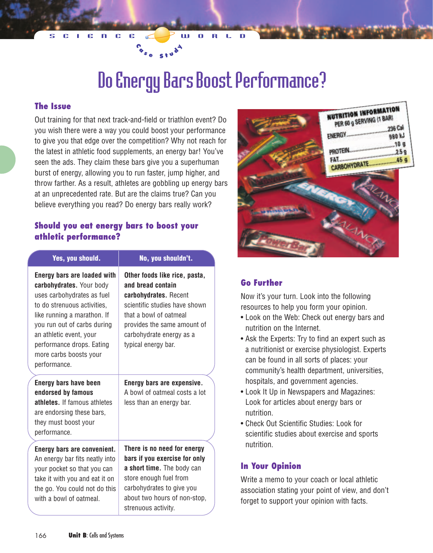# Do Energy Bars Boost Performance?

#### **The Issue**

Out training for that next track-and-field or triathlon event? Do you wish there were a way you could boost your performance to give you that edge over the competition? Why not reach for the latest in athletic food supplements, an energy bar! You've seen the ads. They claim these bars give you a superhuman burst of energy, allowing you to run faster, jump higher, and throw farther. As a result, athletes are gobbling up energy bars at an unprecedented rate. But are the claims true? Can you believe everything you read? Do energy bars really work?

 $\int_{0}^{3}$  **c**  $\int_{0}^{3}$  **s**  $\int_{0}^{4}$ 

#### **Should you eat energy bars to boost your athletic performance?**

| Yes, you should.                                                                                                                                                                                                                                                                            | No, you shouldn't.                                                                                                                                                                                                       |
|---------------------------------------------------------------------------------------------------------------------------------------------------------------------------------------------------------------------------------------------------------------------------------------------|--------------------------------------------------------------------------------------------------------------------------------------------------------------------------------------------------------------------------|
| <b>Energy bars are loaded with</b><br>carbohydrates. Your body<br>uses carbohydrates as fuel<br>to do strenuous activities,<br>like running a marathon. If<br>you run out of carbs during<br>an athletic event, your<br>performance drops. Eating<br>more carbs boosts your<br>performance. | Other foods like rice, pasta,<br>and bread contain<br>carbohydrates. Recent<br>scientific studies have shown<br>that a bowl of oatmeal<br>provides the same amount of<br>carbohydrate energy as a<br>typical energy bar. |
| <b>Energy bars have been</b><br>endorsed by famous<br>athletes. If famous athletes<br>are endorsing these bars,<br>they must boost your<br>performance.                                                                                                                                     | Energy bars are expensive.<br>A bowl of oatmeal costs a lot<br>less than an energy bar.                                                                                                                                  |
| Energy bars are convenient.<br>An energy bar fits neatly into<br>your pocket so that you can<br>take it with you and eat it on<br>the go. You could not do this<br>with a bowl of oatmeal.                                                                                                  | There is no need for energy<br>bars if you exercise for only<br>a short time. The body can<br>store enough fuel from<br>carbohydrates to give you<br>about two hours of non-stop,<br>strenuous activity.                 |



#### **Go Further**

Now it's your turn. Look into the following resources to help you form your opinion.

- Look on the Web: Check out energy bars and nutrition on the Internet.
- Ask the Experts: Try to find an expert such as a nutritionist or exercise physiologist. Experts can be found in all sorts of places: your community's health department, universities, hospitals, and government agencies.
- Look It Up in Newspapers and Magazines: Look for articles about energy bars or nutrition.
- Check Out Scientific Studies: Look for scientific studies about exercise and sports nutrition.

#### **In Your Opinion**

Write a memo to your coach or local athletic association stating your point of view, and don't forget to support your opinion with facts.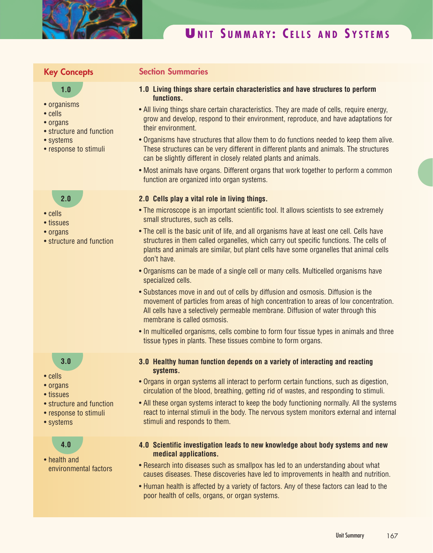

# **U NIT S UMMARY : C ELLS AND S YSTEMS**

#### **Key Concepts**

#### **1.0**

- organisms
- cells
- organs
- structure and function
- systems
- response to stimuli

# **2.0**

- cells
- tissues
- organs
- structure and function

#### **3.0**

- cells
- organs
- tissues
- structure and function
- response to stimuli
- systems

#### **4.0**

• health and environmental factors

#### **Section Summaries**

- **1.0 Living things share certain characteristics and have structures to perform functions.**
- All living things share certain characteristics. They are made of cells, require energy, grow and develop, respond to their environment, reproduce, and have adaptations for their environment.
- Organisms have structures that allow them to do functions needed to keep them alive. These structures can be very different in different plants and animals. The structures can be slightly different in closely related plants and animals.
- Most animals have organs. Different organs that work together to perform a common function are organized into organ systems.

#### **2.0 Cells play a vital role in living things.**

- The microscope is an important scientific tool. It allows scientists to see extremely small structures, such as cells.
- The cell is the basic unit of life, and all organisms have at least one cell. Cells have structures in them called organelles, which carry out specific functions. The cells of plants and animals are similar, but plant cells have some organelles that animal cells don't have.
- Organisms can be made of a single cell or many cells. Multicelled organisms have specialized cells.
- Substances move in and out of cells by diffusion and osmosis. Diffusion is the movement of particles from areas of high concentration to areas of low concentration. All cells have a selectively permeable membrane. Diffusion of water through this membrane is called osmosis.
- In multicelled organisms, cells combine to form four tissue types in animals and three tissue types in plants. These tissues combine to form organs.
- **3.0 Healthy human function depends on a variety of interacting and reacting systems.**
- Organs in organ systems all interact to perform certain functions, such as digestion, circulation of the blood, breathing, getting rid of wastes, and responding to stimuli.
- All these organ systems interact to keep the body functioning normally. All the systems react to internal stimuli in the body. The nervous system monitors external and internal stimuli and responds to them.
- **4.0 Scientific investigation leads to new knowledge about body systems and new medical applications.**
- Research into diseases such as smallpox has led to an understanding about what causes diseases. These discoveries have led to improvements in health and nutrition.
- Human health is affected by a variety of factors. Any of these factors can lead to the poor health of cells, organs, or organ systems.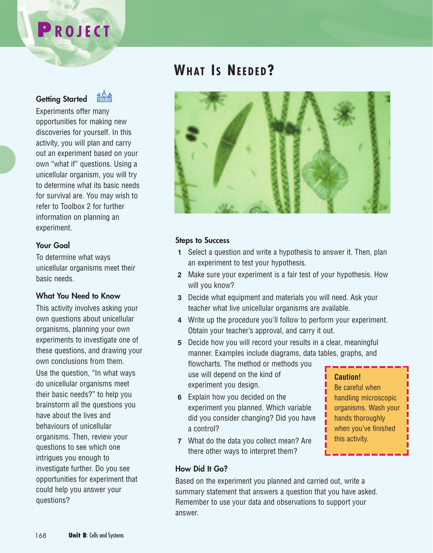# **P ROJECT**

**Getting Started**



Experiments offer many opportunities for making new discoveries for yourself. In this activity, you will plan and carry out an experiment based on your own "what if" questions. Using a unicellular organism, you will try to determine what its basic needs for survival are. You may wish to refer to Toolbox 2 for further information on planning an experiment.

#### **Your Goal**

To determine what ways unicellular organisms meet their basic needs.

#### **What You Need to Know**

This activity involves asking your own questions about unicellular organisms, planning your own experiments to investigate one of these questions, and drawing your own conclusions from them.

Use the question, "In what ways do unicellular organisms meet their basic needs?" to help you brainstorm all the questions you have about the lives and behaviours of unicellular organisms. Then, review your questions to see which one intrigues you enough to investigate further. Do you see opportunities for experiment that could help you answer your questions?

# **WHAT I S NEEDED?**



#### **Steps to Success**

- **1** Select a question and write a hypothesis to answer it. Then, plan an experiment to test your hypothesis.
- **2** Make sure your experiment is a fair test of your hypothesis. How will you know?
- **3** Decide what equipment and materials you will need. Ask your teacher what live unicellular organisms are available.
- **4** Write up the procedure you'll follow to perform your experiment. Obtain your teacher's approval, and carry it out.
- **5** Decide how you will record your results in a clear, meaningful manner. Examples include diagrams, data tables, graphs, and flowcharts. The method or methods you use will depend on the kind of experiment you design. **Caution!**
- **6** Explain how you decided on the experiment you planned. Which variable did you consider changing? Did you have a control?
- **7** What do the data you collect mean? Are there other ways to interpret them?

Be careful when handling microscopic organisms. Wash your hands thoroughly when you've finished this activity.

#### **How Did It Go?**

Based on the experiment you planned and carried out, write a summary statement that answers a question that you have asked. Remember to use your data and observations to support your answer.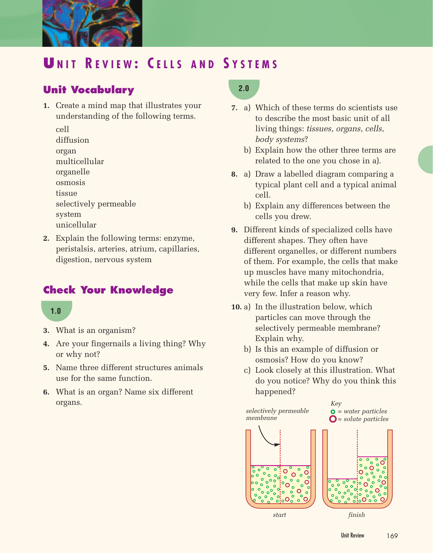

# **U NIT R EVIEW : C ELLS AND S YSTEMS**

# **Unit Vocabulary**

- **1.** Create a mind map that illustrates your understanding of the following terms.
	- cell
	- diffusion
	- organ
	- multicellular
	- organelle
	- osmosis
	- tissue
	- selectively permeable
	- system
	- unicellular
- **2.** Explain the following terms: enzyme, peristalsis, arteries, atrium, capillaries, digestion, nervous system

# **Check Your Knowledge**

#### **1.0**

- **3.** What is an organism?
- **4.** Are your fingernails a living thing? Why or why not?
- **5.** Name three different structures animals use for the same function.
- **6.** What is an organ? Name six different organs.

# **2.0**

- **7.** a) Which of these terms do scientists use to describe the most basic unit of all living things: *tissues*, *organs*, *cells*, *body systems*?
	- b) Explain how the other three terms are related to the one you chose in a).
- **8.** a) Draw a labelled diagram comparing a typical plant cell and a typical animal cell.
	- b) Explain any differences between the cells you drew.
- **9.** Different kinds of specialized cells have different shapes. They often have different organelles, or different numbers of them. For example, the cells that make up muscles have many mitochondria, while the cells that make up skin have very few. Infer a reason why.
- **10.** a) In the illustration below, which particles can move through the selectively permeable membrane? Explain why.
	- b) Is this an example of diffusion or osmosis? How do you know?
	- c) Look closely at this illustration. What do you notice? Why do you think this happened?

*selectively permeable membrane*

*Key = water particles = solute particles*



*start finish*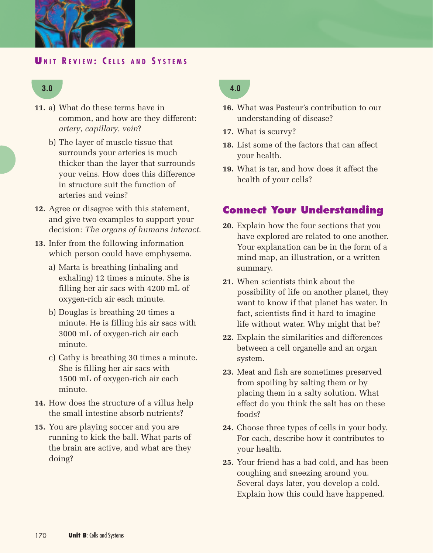

#### **U NIT R EVIEW : C ELLS AND S YSTEMS**

#### **3.0**

- **11.** a) What do these terms have in common, and how are they different: *artery*, *capillary*, *vein*?
	- b) The layer of muscle tissue that surrounds your arteries is much thicker than the layer that surrounds your veins. How does this difference in structure suit the function of arteries and veins?
- **12.** Agree or disagree with this statement, and give two examples to support your decision: *The organs of humans interact*.
- **13.** Infer from the following information which person could have emphysema.
	- a) Marta is breathing (inhaling and exhaling) 12 times a minute. She is filling her air sacs with 4200 mL of oxygen-rich air each minute.
	- b) Douglas is breathing 20 times a minute. He is filling his air sacs with 3000 mL of oxygen-rich air each minute.
	- c) Cathy is breathing 30 times a minute. She is filling her air sacs with 1500 mL of oxygen-rich air each minute.
- **14.** How does the structure of a villus help the small intestine absorb nutrients?
- **15.** You are playing soccer and you are running to kick the ball. What parts of the brain are active, and what are they doing?

#### **4.0**

- **16.** What was Pasteur's contribution to our understanding of disease?
- **17.** What is scurvy?
- **18.** List some of the factors that can affect your health.
- **19.** What is tar, and how does it affect the health of your cells?

#### **Connect Your Understanding**

- **20.** Explain how the four sections that you have explored are related to one another. Your explanation can be in the form of a mind map, an illustration, or a written summary.
- **21.** When scientists think about the possibility of life on another planet, they want to know if that planet has water. In fact, scientists find it hard to imagine life without water. Why might that be?
- **22.** Explain the similarities and differences between a cell organelle and an organ system.
- **23.** Meat and fish are sometimes preserved from spoiling by salting them or by placing them in a salty solution. What effect do you think the salt has on these foods?
- **24.** Choose three types of cells in your body. For each, describe how it contributes to your health.
- **25.** Your friend has a bad cold, and has been coughing and sneezing around you. Several days later, you develop a cold. Explain how this could have happened.